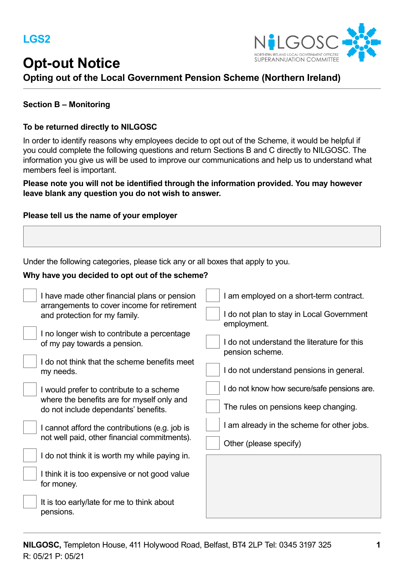# **Opt-out Notice**



## **Opting out of the Local Government Pension Scheme (Northern Ireland)**

### **Section B – Monitoring**

#### **To be returned directly to NILGOSC**

In order to identify reasons why employees decide to opt out of the Scheme, it would be helpful if you could complete the following questions and return Sections B and C directly to NILGOSC. The information you give us will be used to improve our communications and help us to understand what members feel is important.

**Please note you will not be identified through the information provided. You may however leave blank any question you do not wish to answer.**

#### **Please tell us the name of your employer**

Under the following categories, please tick any or all boxes that apply to you.

#### **Why have you decided to opt out of the scheme?**

| I have made other financial plans or pension<br>arrangements to cover income for retirement<br>and protection for my family.   | I am employed on a short-term contract.<br>I do not plan to stay in Local Government |
|--------------------------------------------------------------------------------------------------------------------------------|--------------------------------------------------------------------------------------|
| I no longer wish to contribute a percentage<br>of my pay towards a pension.<br>I do not think that the scheme benefits meet    | employment.<br>I do not understand the literature for this<br>pension scheme.        |
| my needs.                                                                                                                      | I do not understand pensions in general.                                             |
| I would prefer to contribute to a scheme<br>where the benefits are for myself only and<br>do not include dependants' benefits. | I do not know how secure/safe pensions are.<br>The rules on pensions keep changing.  |
| I cannot afford the contributions (e.g. job is<br>not well paid, other financial commitments).                                 | I am already in the scheme for other jobs.<br>Other (please specify)                 |
| I do not think it is worth my while paying in.                                                                                 |                                                                                      |
| I think it is too expensive or not good value<br>for money.                                                                    |                                                                                      |
| It is too early/late for me to think about<br>pensions.                                                                        |                                                                                      |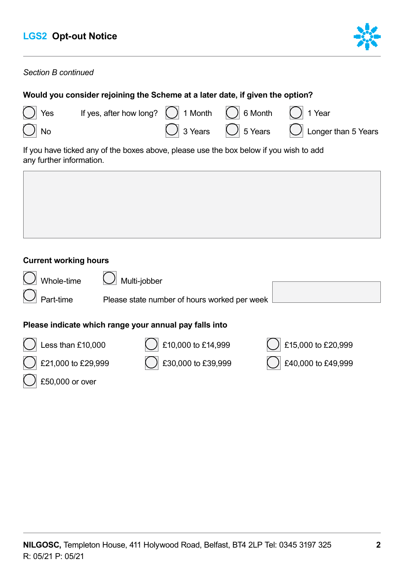

## *Section B continued*

| Would you consider rejoining the Scheme at a later date, if given the option?                                      |                                                                              |  |  |                                                                      |
|--------------------------------------------------------------------------------------------------------------------|------------------------------------------------------------------------------|--|--|----------------------------------------------------------------------|
| $\bigcirc$ Yes                                                                                                     | If yes, after how long? $\bigcap$ 1 Month $\bigcap$ 6 Month $\bigcap$ 1 Year |  |  |                                                                      |
| $\bigcirc$ No                                                                                                      |                                                                              |  |  | $\bigcirc$ 3 Years $\bigcirc$ 5 Years $\bigcirc$ Longer than 5 Years |
| If you have ticked any of the boxes above, please use the box below if you wish to add<br>any further information. |                                                                              |  |  |                                                                      |

## **Current working hours**

£50,000 or over

| Whole-time                                             | Multi-jobber                                 |                    |  |
|--------------------------------------------------------|----------------------------------------------|--------------------|--|
| Part-time                                              | Please state number of hours worked per week |                    |  |
| Please indicate which range your annual pay falls into |                                              |                    |  |
| Less than £10,000                                      | £10,000 to £14,999                           | £15,000 to £20,999 |  |
| £21,000 to £29,999                                     | £30,000 to £39,999                           | £40,000 to £49,999 |  |

**NILGOSC,** Templeton House, 411 Holywood Road, Belfast, BT4 2LP Tel: 0345 3197 325 **2**  R: 05/21 P: 05/21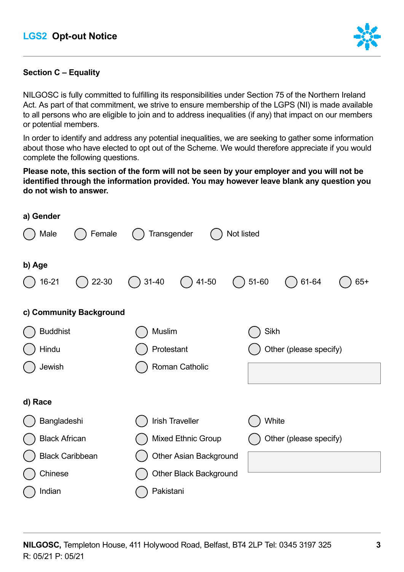

## **Section C – Equality**

NILGOSC is fully committed to fulfilling its responsibilities under Section 75 of the Northern Ireland Act. As part of that commitment, we strive to ensure membership of the LGPS (NI) is made available to all persons who are eligible to join and to address inequalities (if any) that impact on our members or potential members.

In order to identify and address any potential inequalities, we are seeking to gather some information about those who have elected to opt out of the Scheme. We would therefore appreciate if you would complete the following questions.

### **Please note, this section of the form will not be seen by your employer and you will not be identified through the information provided. You may however leave blank any question you do not wish to answer.**

| a) Gender               |                               |                             |
|-------------------------|-------------------------------|-----------------------------|
| Male<br>Female          | Transgender<br>Not listed     |                             |
| b) Age                  |                               |                             |
| $16 - 21$<br>22-30      | $31 - 40$<br>$( ) 41-50$      | $51 - 60$<br>61-64<br>$65+$ |
| c) Community Background |                               |                             |
| <b>Buddhist</b>         | Muslim                        | Sikh                        |
| Hindu                   | Protestant                    | Other (please specify)      |
| Jewish                  | Roman Catholic                |                             |
| d) Race                 |                               |                             |
| Bangladeshi             | <b>Irish Traveller</b>        | White                       |
| <b>Black African</b>    | <b>Mixed Ethnic Group</b>     | Other (please specify)      |
| <b>Black Caribbean</b>  | <b>Other Asian Background</b> |                             |
| Chinese                 | <b>Other Black Background</b> |                             |
| Indian                  | Pakistani                     |                             |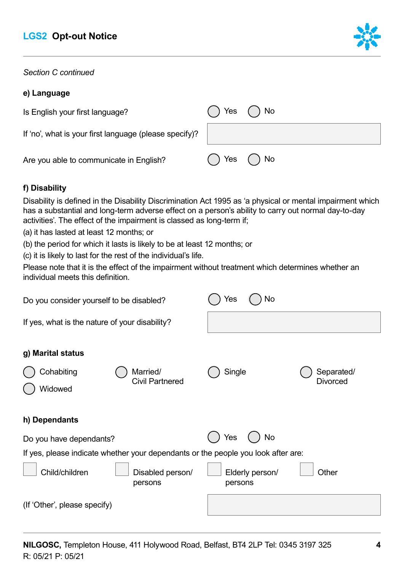

*Section C continued* 

## **e) Language**

| Is English your first language?                        | ( ) Yes ( )No |  |
|--------------------------------------------------------|---------------|--|
| If 'no', what is your first language (please specify)? |               |  |
| Are you able to communicate in English?                | () Yes () No  |  |

## **f) Disability**

Disability is defined in the Disability Discrimination Act 1995 as 'a physical or mental impairment which has a substantial and long-term adverse effect on a person's ability to carry out normal day-to-day activities'. The effect of the impairment is classed as long-term if;

(a) it has lasted at least 12 months; or

(b) the period for which it lasts is likely to be at least 12 months; or

(c) it is likely to last for the rest of the individual's life.

Please note that it is the effect of the impairment without treatment which determines whether an individual meets this definition.

| Do you consider yourself to be disabled?                                          | Yes<br>No                               |
|-----------------------------------------------------------------------------------|-----------------------------------------|
| If yes, what is the nature of your disability?                                    |                                         |
| g) Marital status<br>Cohabiting<br>Married/<br><b>Civil Partnered</b>             | Single<br>Separated/<br><b>Divorced</b> |
| Widowed<br>h) Dependants                                                          |                                         |
| Do you have dependants?                                                           | <b>No</b><br>Yes                        |
| If yes, please indicate whether your dependants or the people you look after are: |                                         |
| Child/children<br>Disabled person/<br>persons                                     | Other<br>Elderly person/<br>persons     |
| (If 'Other', please specify)                                                      |                                         |